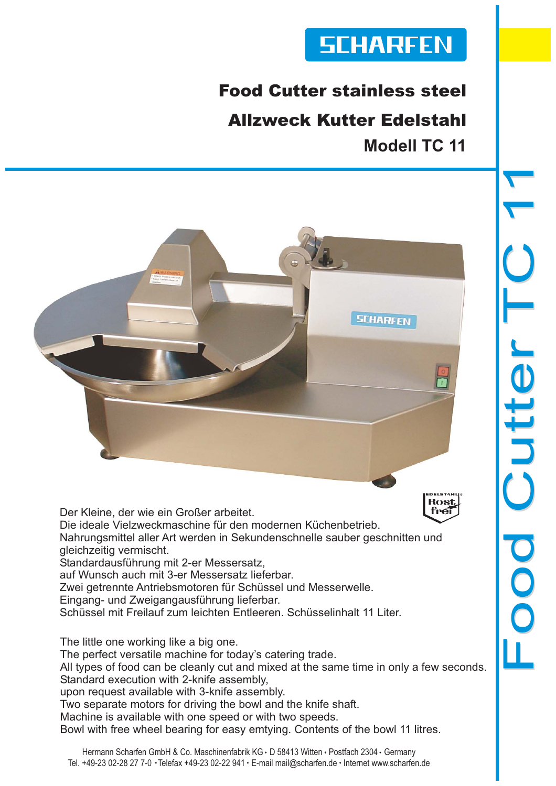# **SCHARFEN**

## Food Cutter stainless steel

## Allzweck Kutter Edelstahl **Modell TC 11**



Der Kleine, der wie ein Großer arbeitet. frei Die ideale Vielzweckmaschine für den modernen Küchenbetrieb. Nahrungsmittel aller Art werden in Sekundenschnelle sauber geschnitten und gleichzeitig vermischt. Standardausführung mit 2-er Messersatz, auf Wunsch auch mit 3-er Messersatz lieferbar. Zwei getrennte Antriebsmotoren für Schüssel und Messerwelle. Eingang- und Zweigangausführung lieferbar.

Schüssel mit Freilauf zum leichten Entleeren. Schüsselinhalt 11 Liter.

The little one working like a big one.

The perfect versatile machine for today's catering trade.

All types of food can be cleanly cut and mixed at the same time in only a few seconds. Standard execution with 2-knife assembly,

upon request available with 3-knife assembly.

Two separate motors for driving the bowl and the knife shaft.

Machine is available with one speed or with two speeds.

Bowl with free wheel bearing for easy emtying. Contents of the bowl 11 litres.